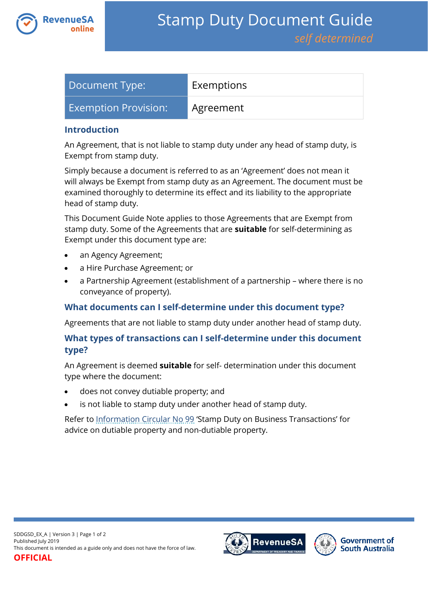

| Document Type:              | Exemptions |
|-----------------------------|------------|
| <b>Exemption Provision:</b> | Agreement  |

#### **Introduction**

An Agreement, that is not liable to stamp duty under any head of stamp duty, is Exempt from stamp duty.

Simply because a document is referred to as an 'Agreement' does not mean it will always be Exempt from stamp duty as an Agreement. The document must be examined thoroughly to determine its effect and its liability to the appropriate head of stamp duty.

This Document Guide Note applies to those Agreements that are Exempt from stamp duty. Some of the Agreements that are **suitable** for self-determining as Exempt under this document type are:

- an Agency Agreement;
- a Hire Purchase Agreement; or
- a Partnership Agreement (establishment of a partnership where there is no conveyance of property).

### **What documents can I self-determine under this document type?**

Agreements that are not liable to stamp duty under another head of stamp duty.

# **What types of transactions can I self-determine under this document type?**

An Agreement is deemed **suitable** for self- determination under this document type where the document:

- does not convey dutiable property; and
- is not liable to stamp duty under another head of stamp duty.

Refer to [Information Circular No 99](https://www.revenuesa.sa.gov.au/forms-and-publications/information-circulars-and-revenue-rulings/information-circulars/ic_099) 'Stamp Duty on Business Transactions' for advice on dutiable property and non-dutiable property.